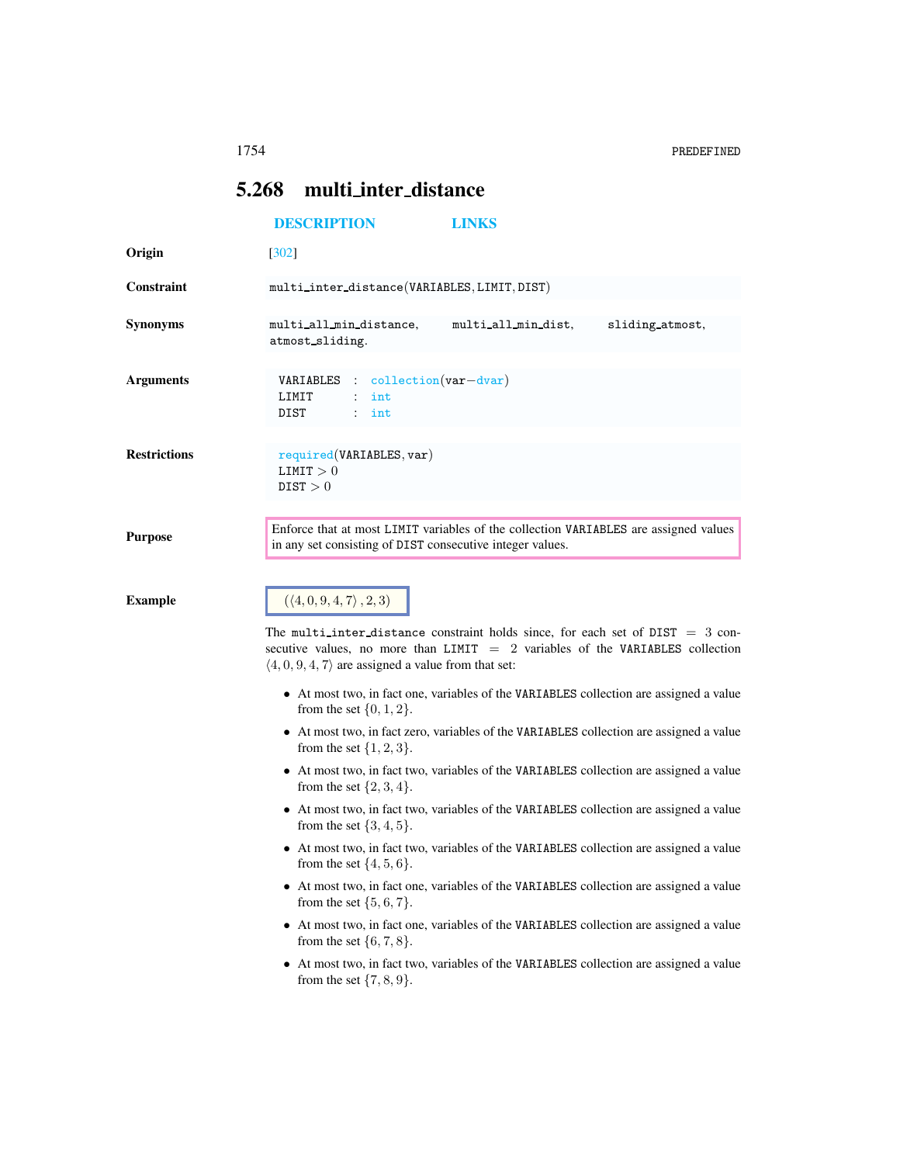## <span id="page-0-0"></span>5.268 multi inter distance

| <b>DESCRIPTION</b>                                                                                                                                                                                                        | <b>LINKS</b>                            |                                                                                                                                                                                                                                                                                                                                                                                                                                                                                                                                                                                                                                                                                                                                                                                                                                                                                                                                                                                                                                                                                       |
|---------------------------------------------------------------------------------------------------------------------------------------------------------------------------------------------------------------------------|-----------------------------------------|---------------------------------------------------------------------------------------------------------------------------------------------------------------------------------------------------------------------------------------------------------------------------------------------------------------------------------------------------------------------------------------------------------------------------------------------------------------------------------------------------------------------------------------------------------------------------------------------------------------------------------------------------------------------------------------------------------------------------------------------------------------------------------------------------------------------------------------------------------------------------------------------------------------------------------------------------------------------------------------------------------------------------------------------------------------------------------------|
| $[302]$                                                                                                                                                                                                                   |                                         |                                                                                                                                                                                                                                                                                                                                                                                                                                                                                                                                                                                                                                                                                                                                                                                                                                                                                                                                                                                                                                                                                       |
|                                                                                                                                                                                                                           |                                         |                                                                                                                                                                                                                                                                                                                                                                                                                                                                                                                                                                                                                                                                                                                                                                                                                                                                                                                                                                                                                                                                                       |
| multi_all_min_distance,<br>atmost_sliding.                                                                                                                                                                                | multi_all_min_dist,                     | sliding_atmost,                                                                                                                                                                                                                                                                                                                                                                                                                                                                                                                                                                                                                                                                                                                                                                                                                                                                                                                                                                                                                                                                       |
| VARIABLES<br>LIMIT<br>int<br>DIST<br>$:$ int                                                                                                                                                                              |                                         |                                                                                                                                                                                                                                                                                                                                                                                                                                                                                                                                                                                                                                                                                                                                                                                                                                                                                                                                                                                                                                                                                       |
| required(VARIABLES, var)<br>LIMIT > 0<br>DIST > 0                                                                                                                                                                         |                                         |                                                                                                                                                                                                                                                                                                                                                                                                                                                                                                                                                                                                                                                                                                                                                                                                                                                                                                                                                                                                                                                                                       |
| Enforce that at most LIMIT variables of the collection VARIABLES are assigned values<br><b>Purpose</b><br>in any set consisting of DIST consecutive integer values.                                                       |                                         |                                                                                                                                                                                                                                                                                                                                                                                                                                                                                                                                                                                                                                                                                                                                                                                                                                                                                                                                                                                                                                                                                       |
| from the set $\{0, 1, 2\}$ .<br>from the set $\{1, 2, 3\}.$<br>from the set $\{2, 3, 4\}.$<br>from the set $\{3, 4, 5\}$ .<br>from the set $\{4, 5, 6\}.$<br>from the set $\{5, 6, 7\}$ .<br>from the set $\{6, 7, 8\}$ . |                                         |                                                                                                                                                                                                                                                                                                                                                                                                                                                                                                                                                                                                                                                                                                                                                                                                                                                                                                                                                                                                                                                                                       |
| from the set $\{7, 8, 9\}$ .                                                                                                                                                                                              |                                         |                                                                                                                                                                                                                                                                                                                                                                                                                                                                                                                                                                                                                                                                                                                                                                                                                                                                                                                                                                                                                                                                                       |
|                                                                                                                                                                                                                           | $(\langle 4, 0, 9, 4, 7 \rangle, 2, 3)$ | multi_inter_distance(VARIABLES, LIMIT, DIST)<br>$\text{collection}(var - \text{dvar})$<br>The multi-inter-distance constraint holds since, for each set of $DIST = 3$ con-<br>secutive values, no more than LIMIT $= 2$ variables of the VARIABLES collection<br>$\langle 4, 0, 9, 4, 7 \rangle$ are assigned a value from that set:<br>• At most two, in fact one, variables of the VARIABLES collection are assigned a value<br>• At most two, in fact zero, variables of the VARIABLES collection are assigned a value<br>• At most two, in fact two, variables of the VARIABLES collection are assigned a value<br>• At most two, in fact two, variables of the VARIABLES collection are assigned a value<br>• At most two, in fact two, variables of the VARIABLES collection are assigned a value<br>• At most two, in fact one, variables of the VARIABLES collection are assigned a value<br>• At most two, in fact one, variables of the VARIABLES collection are assigned a value<br>• At most two, in fact two, variables of the VARIABLES collection are assigned a value |